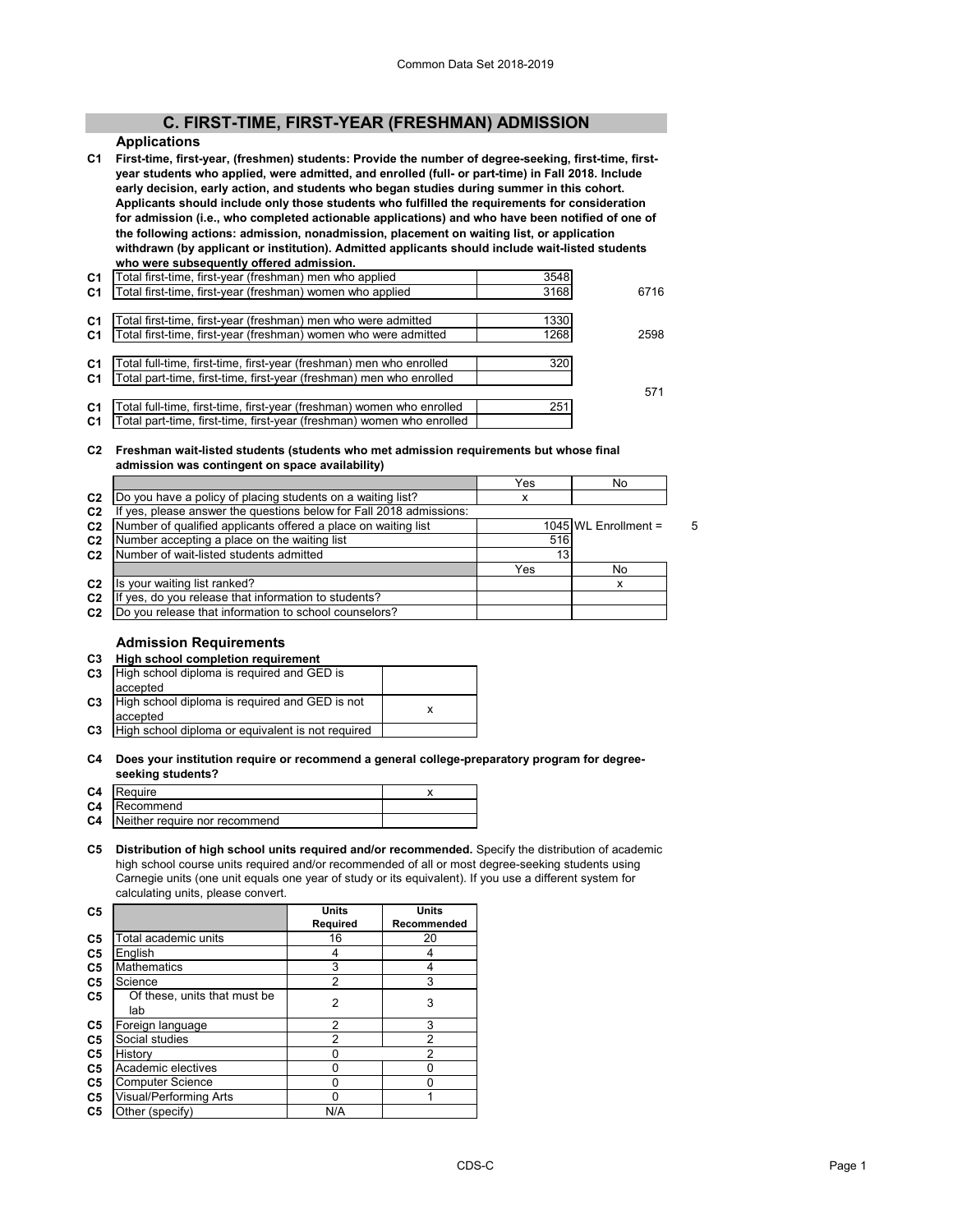# **C. FIRST-TIME, FIRST-YEAR (FRESHMAN) ADMISSION**

#### **Applications**

**C1 First-time, first-year, (freshmen) students: Provide the number of degree-seeking, first-time, firstyear students who applied, were admitted, and enrolled (full- or part-time) in Fall 2018. Include early decision, early action, and students who began studies during summer in this cohort. Applicants should include only those students who fulfilled the requirements for consideration for admission (i.e., who completed actionable applications) and who have been notified of one of the following actions: admission, nonadmission, placement on waiting list, or application withdrawn (by applicant or institution). Admitted applicants should include wait-listed students who were subsequently offered admission.**

| C1             | l otal first-time, first-year (freshman) men who applied              | 3548 |      |
|----------------|-----------------------------------------------------------------------|------|------|
| C <sub>1</sub> | Total first-time, first-year (freshman) women who applied             | 3168 | 6716 |
|                |                                                                       |      |      |
| C1             | Total first-time, first-year (freshman) men who were admitted         | 1330 |      |
| C <sub>1</sub> | Total first-time, first-year (freshman) women who were admitted       | 1268 | 2598 |
|                |                                                                       |      |      |
| C <sub>1</sub> | Total full-time, first-time, first-year (freshman) men who enrolled   | 320  |      |
| C <sub>1</sub> | Total part-time, first-time, first-year (freshman) men who enrolled   |      |      |
|                |                                                                       |      | 571  |
| C <sub>1</sub> | Total full-time, first-time, first-year (freshman) women who enrolled | 251  |      |
| C <sub>1</sub> | Total part-time, first-time, first-year (freshman) women who enrolled |      |      |
|                |                                                                       |      |      |

#### **C2 Freshman wait-listed students (students who met admission requirements but whose final admission was contingent on space availability)**

|                                                                     | Yes | No |                                                  |
|---------------------------------------------------------------------|-----|----|--------------------------------------------------|
| Do you have a policy of placing students on a waiting list?         | x   |    |                                                  |
| If yes, please answer the questions below for Fall 2018 admissions: |     |    |                                                  |
| Number of qualified applicants offered a place on waiting list      |     |    | д                                                |
| Number accepting a place on the waiting list                        |     |    |                                                  |
| Number of wait-listed students admitted                             |     |    |                                                  |
|                                                                     | Yes | No |                                                  |
| Is your waiting list ranked?                                        |     |    |                                                  |
| yes, do you release that information to students?                   |     |    |                                                  |
| Do you release that information to school counselors?               |     |    |                                                  |
|                                                                     |     |    | $1045$ WL Enrollment =<br>516<br>13 <sub>1</sub> |

#### **Admission Requirements**

| C3 | High school completion requirement |  |
|----|------------------------------------|--|
|    |                                    |  |

| C <sub>3</sub> | High school diploma is required and GED is<br>accepted     |  |
|----------------|------------------------------------------------------------|--|
| C <sub>3</sub> | High school diploma is required and GED is not<br>accepted |  |
| C <sub>3</sub> | High school diploma or equivalent is not required          |  |
|                |                                                            |  |

#### **C4 Does your institution require or recommend a general college-preparatory program for degreeseeking students?**

| C4 | Require                                 |  |
|----|-----------------------------------------|--|
|    | <b>C4</b> Recommend                     |  |
|    | <b>C4</b> Neither require nor recommend |  |

**C5 Distribution of high school units required and/or recommended.** Specify the distribution of academic high school course units required and/or recommended of all or most degree-seeking students using Carnegie units (one unit equals one year of study or its equivalent). If you use a different system for calculating units, please convert.

| C5 |                                     | Units          | Units          |
|----|-------------------------------------|----------------|----------------|
|    |                                     | Required       | Recommended    |
| C5 | Total academic units                | 16             | 20             |
| C5 | English                             |                |                |
| C5 | <b>Mathematics</b>                  | 3              |                |
| C5 | Science                             | 2              | 3              |
| C5 | Of these, units that must be<br>lab | $\overline{2}$ | 3              |
| C5 | Foreign language                    | 2              | 3              |
| C5 | Social studies                      | 2              | $\mathfrak{p}$ |
| C5 | History                             |                | $\overline{2}$ |
| C5 | Academic electives                  |                |                |
| C5 | <b>Computer Science</b>             |                |                |
| C5 | Visual/Performing Arts              | n              |                |
| C5 | Other (specify)                     | N/A            |                |
|    |                                     |                |                |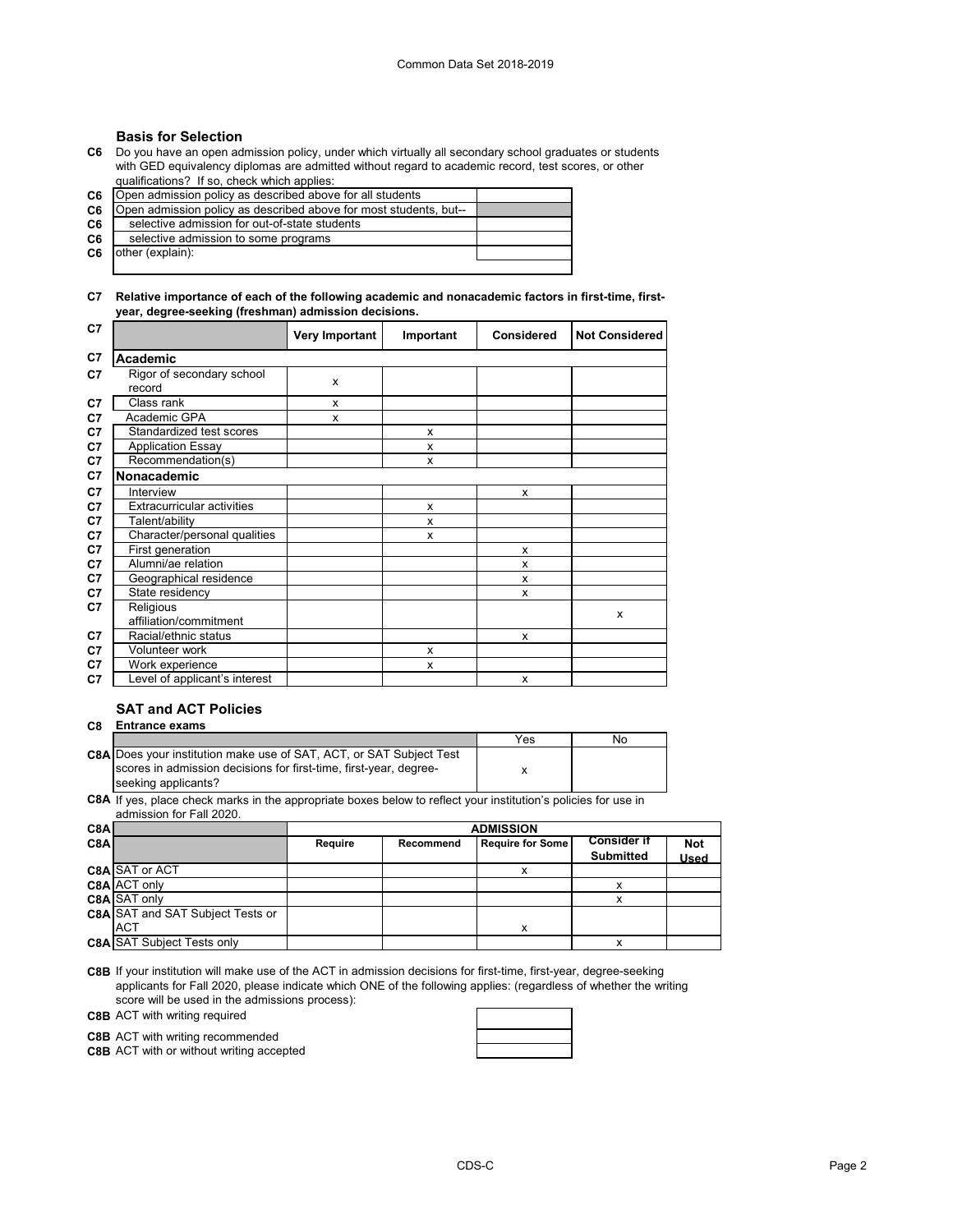## **Basis for Selection**

**C6** Do you have an open admission policy, under which virtually all secondary school graduates or students with GED equivalency diplomas are admitted without regard to academic record, test scores, or other qualifications? If so, check which applies:

**C6**

| C6. | [Open admission policy as described above for all students]       |  |
|-----|-------------------------------------------------------------------|--|
| C6  | Open admission policy as described above for most students, but-- |  |
| C6  | selective admission for out-of-state students                     |  |
| C6  | selective admission to some programs                              |  |
| C6  | other (explain):                                                  |  |
|     |                                                                   |  |

### **C7 Relative importance of each of the following academic and nonacademic factors in first-time, firstyear, degree-seeking (freshman) admission decisions.**

| C7 |                                     | <b>Very Important</b> | Important | <b>Considered</b> | <b>Not Considered</b> |
|----|-------------------------------------|-----------------------|-----------|-------------------|-----------------------|
| C7 | Academic                            |                       |           |                   |                       |
| C7 | Rigor of secondary school<br>record | X                     |           |                   |                       |
| C7 | Class rank                          | x                     |           |                   |                       |
| C7 | Academic GPA                        | x                     |           |                   |                       |
| C7 | Standardized test scores            |                       | X         |                   |                       |
| C7 | <b>Application Essay</b>            |                       | X         |                   |                       |
| C7 | Recommendation(s)                   |                       | X         |                   |                       |
| C7 | Nonacademic                         |                       |           |                   |                       |
| C7 | Interview                           |                       |           | X                 |                       |
| C7 | <b>Extracurricular activities</b>   |                       | X         |                   |                       |
| C7 | Talent/ability                      |                       | x         |                   |                       |
| C7 | Character/personal qualities        |                       | x         |                   |                       |
| C7 | First generation                    |                       |           | X                 |                       |
| C7 | Alumni/ae relation                  |                       |           | X                 |                       |
| C7 | Geographical residence              |                       |           | X                 |                       |
| C7 | State residency                     |                       |           | x                 |                       |
| C7 | Religious                           |                       |           |                   | X                     |
|    | affiliation/commitment              |                       |           |                   |                       |
| C7 | Racial/ethnic status                |                       |           | x                 |                       |
| C7 | Volunteer work                      |                       | X         |                   |                       |
| C7 | Work experience                     |                       | x         |                   |                       |
| C7 | Level of applicant's interest       |                       |           | X                 |                       |

# **SAT and ACT Policies**

#### **C8 Entrance exams**

|                                                                            | Yes | No |
|----------------------------------------------------------------------------|-----|----|
| <b>C8A Does your institution make use of SAT, ACT, or SAT Subject Test</b> |     |    |
| scores in admission decisions for first-time, first-year, degree-          |     |    |
| seeking applicants?                                                        |     |    |

**C8A** If yes, place check marks in the appropriate boxes below to reflect your institution's policies for use in admission for Fall 2020.

| C8A              |                                         | <b>ADMISSION</b> |           |                         |                                        |                           |
|------------------|-----------------------------------------|------------------|-----------|-------------------------|----------------------------------------|---------------------------|
| C <sub>8</sub> A |                                         | Require          | Recommend | <b>Require for Some</b> | <b>Consider if</b><br><b>Submitted</b> | <b>Not</b><br><b>Used</b> |
|                  | <b>C8A SAT or ACT</b>                   |                  |           |                         |                                        |                           |
|                  | C8A ACT only                            |                  |           |                         |                                        |                           |
|                  | C8A SAT only                            |                  |           |                         | x                                      |                           |
|                  | <b>C8A SAT and SAT Subject Tests or</b> |                  |           |                         |                                        |                           |
|                  | <b>ACT</b>                              |                  |           | x                       |                                        |                           |
|                  | <b>C8A SAT Subject Tests only</b>       |                  |           |                         |                                        |                           |

**C8B** If your institution will make use of the ACT in admission decisions for first-time, first-year, degree-seeking applicants for Fall 2020, please indicate which ONE of the following applies: (regardless of whether the writing score will be used in the admissions process):

**C8B** ACT with writing required

**C8B** ACT with writing recommended

**C8B** ACT with or without writing accepted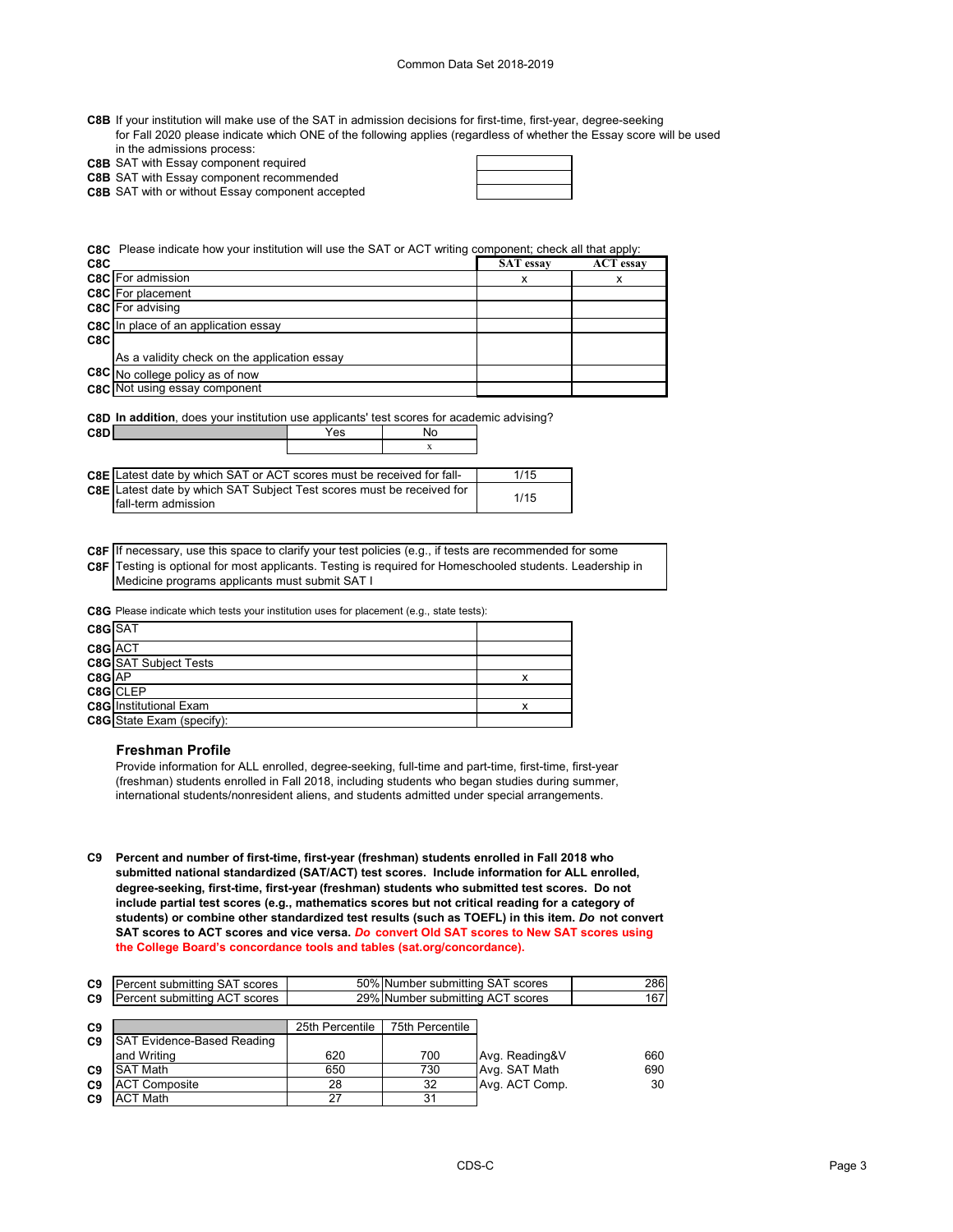- **C8B** If your institution will make use of the SAT in admission decisions for first-time, first-year, degree-seeking for Fall 2020 please indicate which ONE of the following applies (regardless of whether the Essay score will be used in the admissions process:
- **C8B** SAT with Essay component required

**C8B** SAT with Essay component recommended

**C8B** SAT with or without Essay component accepted

**C8C** Please indicate how your institution will use the SAT or ACT writing component; check all that apply:

| C8C |                                              | <b>SAT</b> essay | <b>ACT</b> essay |
|-----|----------------------------------------------|------------------|------------------|
|     | <b>C8C</b> For admission                     | х                | х                |
|     | <b>C8C</b> For placement                     |                  |                  |
|     | <b>C8C</b> For advising                      |                  |                  |
|     | <b>C8C</b> In place of an application essay  |                  |                  |
| C8C |                                              |                  |                  |
|     | As a validity check on the application essay |                  |                  |
|     | C8C No college policy as of now              |                  |                  |
|     | <b>C8C</b> Not using essay component         |                  |                  |

| <b>C8D In addition</b> , does your institution use applicants' test scores for academic advising? |     |    |  |
|---------------------------------------------------------------------------------------------------|-----|----|--|
| C8D                                                                                               | Yes | N٥ |  |

| C8DI |                                                                              | ∕es | Nn |  |
|------|------------------------------------------------------------------------------|-----|----|--|
|      |                                                                              |     |    |  |
|      |                                                                              |     |    |  |
|      | <b>C8E</b> Latest date by which SAT or ACT scores must be received for fall- |     |    |  |

| <b>C8E</b> I Latest date by which SAT or ACT scores must be received for fall-                | 1/15 |
|-----------------------------------------------------------------------------------------------|------|
| C8E Latest date by which SAT Subject Test scores must be received for<br>Ifall-term admission | 1/15 |

**C8F** If necessary, use this space to clarify your test policies (e.g., if tests are recommended for some **C8F** Testing is optional for most applicants. Testing is required for Homeschooled students. Leadership in Medicine programs applicants must submit SAT I

**C8G** Please indicate which tests your institution uses for placement (e.g., state tests):

| C8G SAT |                               |  |
|---------|-------------------------------|--|
| C8G ACT |                               |  |
|         | <b>C8G</b> SAT Subject Tests  |  |
| C8G AP  |                               |  |
|         | C8G CLEP                      |  |
|         | <b>C8G</b> Institutional Exam |  |
|         | C8G State Exam (specify):     |  |

#### **Freshman Profile**

Provide information for ALL enrolled, degree-seeking, full-time and part-time, first-time, first-year (freshman) students enrolled in Fall 2018, including students who began studies during summer, international students/nonresident aliens, and students admitted under special arrangements.

**C9 Percent and number of first-time, first-year (freshman) students enrolled in Fall 2018 who submitted national standardized (SAT/ACT) test scores. Include information for ALL enrolled, degree-seeking, first-time, first-year (freshman) students who submitted test scores. Do not include partial test scores (e.g., mathematics scores but not critical reading for a category of students) or combine other standardized test results (such as TOEFL) in this item.** *Do* **not convert SAT scores to ACT scores and vice versa.** *Do* **convert Old SAT scores to New SAT scores using the College Board's concordance tools and tables (sat.org/concordance).**

|                | <b>C9</b> Percent submitting SAT scores |                 | 50% Number submitting SAT scores | 286 |
|----------------|-----------------------------------------|-----------------|----------------------------------|-----|
|                | <b>C9</b> Percent submitting ACT scores |                 | 29% Number submitting ACT scores | 167 |
|                |                                         |                 |                                  |     |
| C <sub>9</sub> |                                         | 25th Percentile | 75th Percentile                  |     |

| ື              |                                   | <b>LUTTLATOLING</b> | <b>UULLUU</b> UU |                |     |
|----------------|-----------------------------------|---------------------|------------------|----------------|-----|
| C9             | <b>SAT Evidence-Based Reading</b> |                     |                  |                |     |
|                | and Writing                       | 620                 | 700              | Avg. Reading&V | 660 |
| C <sub>9</sub> | <b>SAT Math</b>                   | 650                 | 730              | Avg. SAT Math  | 690 |
| C <sub>9</sub> | <b>ACT Composite</b>              | 28                  | 32               | Avg. ACT Comp. | 30  |
| C9             | <b>ACT Math</b>                   | 27                  | 31               |                |     |
|                |                                   |                     |                  |                |     |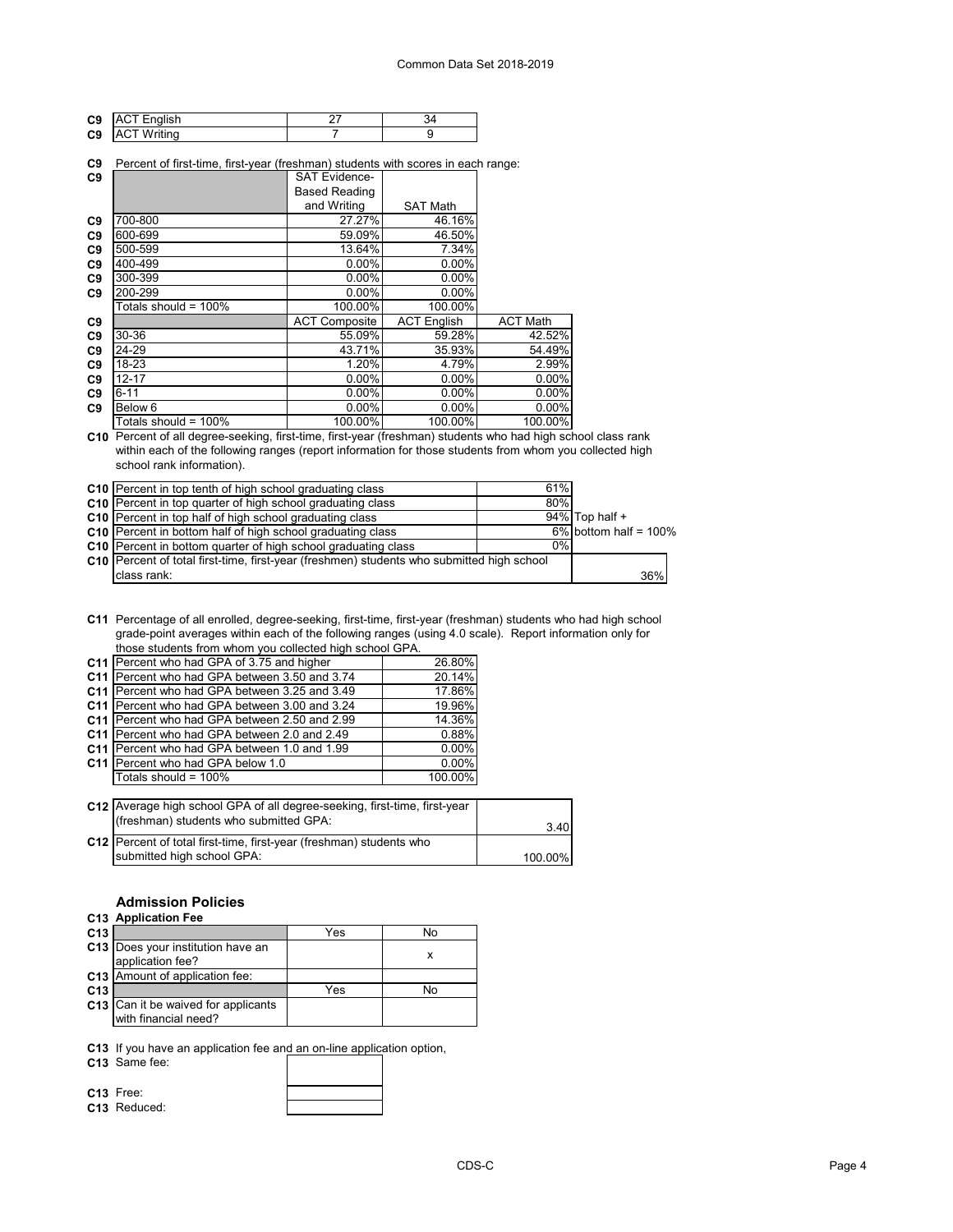| C <sub>9</sub> | 'lish<br>- |  |
|----------------|------------|--|
| C9             | tina       |  |

#### **C9** Percent of first-time, first-year (freshman) students with scores in each range:

| C9             |                         | <b>SAT Evidence-</b> |                    |                 |
|----------------|-------------------------|----------------------|--------------------|-----------------|
|                |                         | <b>Based Reading</b> |                    |                 |
|                |                         | and Writing          | <b>SAT Math</b>    |                 |
| C <sub>9</sub> | 700-800                 | 27.27%               | 46.16%             |                 |
| C <sub>9</sub> | 600-699                 | 59.09%               | 46.50%             |                 |
| C <sub>9</sub> | 500-599                 | 13.64%               | 7.34%              |                 |
| C <sub>9</sub> | 400-499                 | $0.00\%$             | 0.00%              |                 |
| C <sub>9</sub> | 300-399                 | $0.00\%$             | $0.00\%$           |                 |
| C <sub>9</sub> | 200-299                 | $0.00\%$             | 0.00%              |                 |
|                | Totals should = 100%    | 100.00%              | 100.00%            |                 |
| C9             |                         | <b>ACT Composite</b> | <b>ACT English</b> | <b>ACT Math</b> |
| C <sub>9</sub> | 30-36                   | 55.09%               | 59.28%             | 42.52%          |
| C <sub>9</sub> | 24-29                   | 43.71%               | 35.93%             | 54.49%          |
| C <sub>9</sub> | 18-23                   | 1.20%                | 4.79%              | 2.99%           |
| C <sub>9</sub> | $12 - 17$               | 0.00%                | 0.00%              | $0.00\%$        |
| C <sub>9</sub> | 6-11                    | $0.00\%$             | $0.00\%$           | $0.00\%$        |
| C <sub>9</sub> | Below 6                 | $0.00\%$             | 0.00%              | 0.00%           |
|                | Totals should = $100\%$ | 100.00%              | 100.00%            | 100.00%         |

**C10** Percent of all degree-seeking, first-time, first-year (freshman) students who had high school class rank within each of the following ranges (report information for those students from whom you collected high school rank information).

| <b>C10</b> Percent in top tenth of high school graduating class                           | 61% |                          |
|-------------------------------------------------------------------------------------------|-----|--------------------------|
| <b>C10</b> Percent in top quarter of high school graduating class                         | 80% |                          |
| C10 Percent in top half of high school graduating class                                   |     | $94\%$ Top half +        |
| <b>C10</b> Percent in bottom half of high school graduating class                         |     | $6\%$ bottom half = 100% |
| <b>C10</b> Percent in bottom quarter of high school graduating class                      | 0%  |                          |
| C10 Percent of total first-time, first-year (freshmen) students who submitted high school |     |                          |
| class rank:                                                                               |     | 36%                      |

**C11** Percentage of all enrolled, degree-seeking, first-time, first-year (freshman) students who had high school grade-point averages within each of the following ranges (using 4.0 scale). Report information only for those students from whom you collected high school GPA.

| C11 Percent who had GPA of 3.75 and higher    | 26.80%   |
|-----------------------------------------------|----------|
| C11 Percent who had GPA between 3.50 and 3.74 | 20.14%   |
| C11 Percent who had GPA between 3.25 and 3.49 | 17.86%   |
| C11 Percent who had GPA between 3.00 and 3.24 | 19.96%   |
| C11 Percent who had GPA between 2.50 and 2.99 | 14.36%   |
| C11 Percent who had GPA between 2.0 and 2.49  | 0.88%    |
| C11 Percent who had GPA between 1.0 and 1.99  | $0.00\%$ |
| C11 Percent who had GPA below 1.0             | $0.00\%$ |
| Totals should = 100%                          | 100.00%  |
|                                               |          |

| C12 Average high school GPA of all degree-seeking, first-time, first-year |         |
|---------------------------------------------------------------------------|---------|
| (freshman) students who submitted GPA:                                    | 3.40    |
| C12   Percent of total first-time, first-year (freshman) students who     |         |
| submitted high school GPA:                                                | 100.00% |

# **Admission Policies**

| C13 Application Fee |  |
|---------------------|--|
|                     |  |

| C <sub>13</sub> |                                                       | Yes | N٥ |
|-----------------|-------------------------------------------------------|-----|----|
|                 | C13 Does your institution have an<br>application fee? |     |    |
|                 | C13 Amount of application fee:                        |     |    |
| C <sub>13</sub> |                                                       | Yes | N٥ |
|                 | C13 Can it be waived for applicants                   |     |    |
|                 | with financial need?                                  |     |    |

**C13** If you have an application fee and an on-line application option,

**C13** Same fee:

| ÷.<br>. וים |  |
|-------------|--|

**C13** Reduced:

**C13** Free: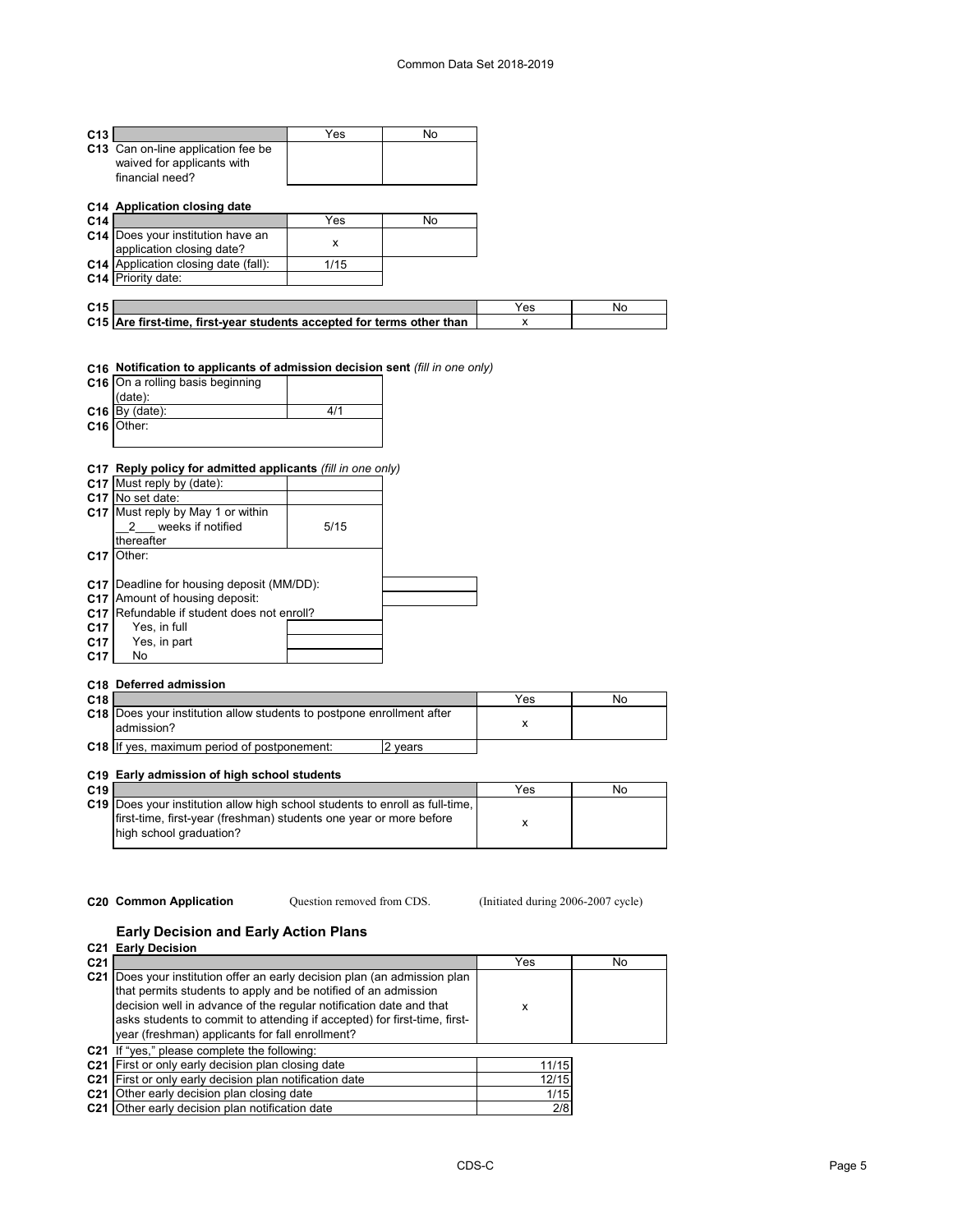| C <sub>13</sub> |                                                                                     | Yes  | No |     |    |
|-----------------|-------------------------------------------------------------------------------------|------|----|-----|----|
|                 | C13 Can on-line application fee be<br>waived for applicants with<br>financial need? |      |    |     |    |
|                 | C14 Application closing date                                                        |      |    |     |    |
| C <sub>14</sub> |                                                                                     | Yes  | No |     |    |
|                 | <b>C14</b> Does your institution have an<br>application closing date?               | X    |    |     |    |
|                 | C14 Application closing date (fall):                                                | 1/15 |    |     |    |
|                 | C14 Priority date:                                                                  |      |    |     |    |
|                 |                                                                                     |      |    |     |    |
| C <sub>15</sub> |                                                                                     |      |    | Yes | No |
|                 | C15 Are first-time, first-year students accepted for terms other than               |      |    | x   |    |

## **C16 Notification to applicants of admission decision sent** *(fill in one only)*

| C16 On a rolling basis beginning |     |
|----------------------------------|-----|
| (data):                          |     |
| $C16$ By (date):                 | 411 |
| C <sub>16</sub> Other:           |     |
|                                  |     |

## **C17 Reply policy for admitted applicants** *(fill in one only)*

|                 | C17 Must reply by (date):                        |      |  |
|-----------------|--------------------------------------------------|------|--|
|                 | C17 No set date:                                 |      |  |
|                 | C17 Must reply by May 1 or within                |      |  |
|                 | weeks if notified                                | 5/15 |  |
|                 | thereafter                                       |      |  |
| C <sub>17</sub> | Other:                                           |      |  |
|                 |                                                  |      |  |
|                 | <b>C17</b> Deadline for housing deposit (MM/DD): |      |  |
| C <sub>17</sub> | Amount of housing deposit:                       |      |  |
| C <sub>17</sub> | Refundable if student does not enroll?           |      |  |
| C <sub>17</sub> | Yes, in full                                     |      |  |
| C <sub>17</sub> | Yes, in part                                     |      |  |
| C <sub>17</sub> | No                                               |      |  |
|                 |                                                  |      |  |

#### **C18 Deferred admission**

| C <sub>18</sub> |                                                                                            | Yes | No |
|-----------------|--------------------------------------------------------------------------------------------|-----|----|
|                 | <b>C18</b> Does your institution allow students to postpone enrollment after<br>admission? |     |    |
| $C18$ If        | ves, maximum period of postponement:<br>vears                                              |     |    |

# **C19 Early admission of high school students**

| C <sub>19</sub> |                                                                                     | Yes | No |
|-----------------|-------------------------------------------------------------------------------------|-----|----|
|                 | <b>C19</b> Does your institution allow high school students to enroll as full-time, |     |    |
|                 | Ifirst-time, first-year (freshman) students one year or more before                 |     |    |
|                 | high school graduation?                                                             |     |    |
|                 |                                                                                     |     |    |

Question removed from CDS.

**C20 Common Application Question removed from CDS.** (Initiated during 2006-2007 cycle)

# **Early Decision and Early Action Plans**

|                 | C <sub>21</sub> Early Decision                                                                                                                                                                                                                                                                                                                   |            |     |
|-----------------|--------------------------------------------------------------------------------------------------------------------------------------------------------------------------------------------------------------------------------------------------------------------------------------------------------------------------------------------------|------------|-----|
| C <sub>21</sub> |                                                                                                                                                                                                                                                                                                                                                  | <b>Yes</b> | No. |
|                 | C21 Does your institution offer an early decision plan (an admission plan<br>that permits students to apply and be notified of an admission<br>decision well in advance of the regular notification date and that<br>asks students to commit to attending if accepted) for first-time, first-<br>year (freshman) applicants for fall enrollment? | x          |     |
|                 | C21 If "yes," please complete the following:                                                                                                                                                                                                                                                                                                     |            |     |
|                 | C <sub>21</sub> First or only early decision plan closing date                                                                                                                                                                                                                                                                                   | 11/15      |     |
|                 | C <sub>21</sub> First or only early decision plan notification date                                                                                                                                                                                                                                                                              | 12/15      |     |
|                 | C <sub>21</sub> Other early decision plan closing date                                                                                                                                                                                                                                                                                           | 1/15       |     |
|                 | C <sub>21</sub> Other early decision plan notification date                                                                                                                                                                                                                                                                                      | 2/8        |     |